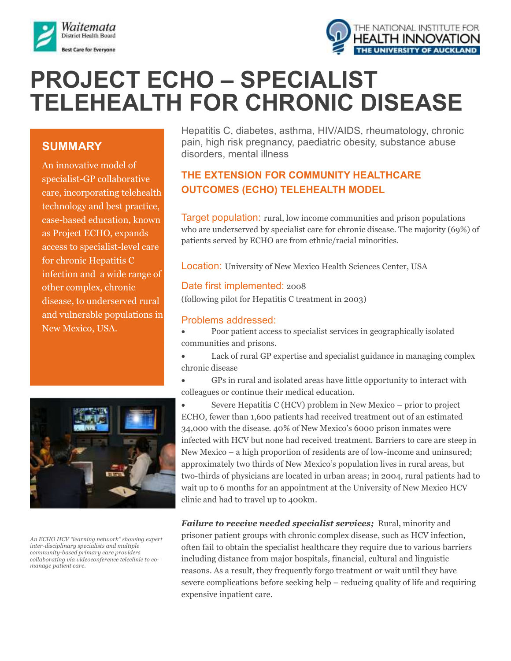



# **PROJECT ECHO – SPECIALIST TELEHEALTH FOR CHRONIC DISEASE**

## **SUMMARY**

An innovative model of specialist-GP collaborative care, incorporating telehealth technology and best practice, case-based education, known as Project ECHO, expands access to specialist-level care for chronic Hepatitis C infection and a wide range of other complex, chronic disease, to underserved rural and vulnerable populations in New Mexico, USA.



*An ECHO HCV "learning network" showing expert inter-disciplinary specialists and multiple community-based primary care providers collaborating via videoconference teleclinic to comanage patient care.*

Hepatitis C, diabetes, asthma, HIV/AIDS, rheumatology, chronic pain, high risk pregnancy, paediatric obesity, substance abuse disorders, mental illness

# **THE EXTENSION FOR COMMUNITY HEALTHCARE OUTCOMES (ECHO) TELEHEALTH MODEL**

Target population: rural, low income communities and prison populations who are underserved by specialist care for chronic disease. The majority (69%) of patients served by ECHO are from ethnic/racial minorities.

Location: University of New Mexico Health Sciences Center, USA

## Date first implemented: 2008

(following pilot for Hepatitis C treatment in 2003)

#### Problems addressed:

 Poor patient access to specialist services in geographically isolated communities and prisons.

 Lack of rural GP expertise and specialist guidance in managing complex chronic disease

 GPs in rural and isolated areas have little opportunity to interact with colleagues or continue their medical education.

 Severe Hepatitis C (HCV) problem in New Mexico – prior to project ECHO, fewer than 1,600 patients had received treatment out of an estimated 34,000 with the disease. 40% of New Mexico's 6000 prison inmates were infected with HCV but none had received treatment. Barriers to care are steep in New Mexico – a high proportion of residents are of low-income and uninsured; approximately two thirds of New Mexico's population lives in rural areas, but two-thirds of physicians are located in urban areas; in 2004, rural patients had to wait up to 6 months for an appointment at the University of New Mexico HCV clinic and had to travel up to 400km.

*Failure to receive needed specialist services;* Rural, minority and prisoner patient groups with chronic complex disease, such as HCV infection, often fail to obtain the specialist healthcare they require due to various barriers including distance from major hospitals, financial, cultural and linguistic reasons. As a result, they frequently forgo treatment or wait until they have severe complications before seeking help – reducing quality of life and requiring expensive inpatient care.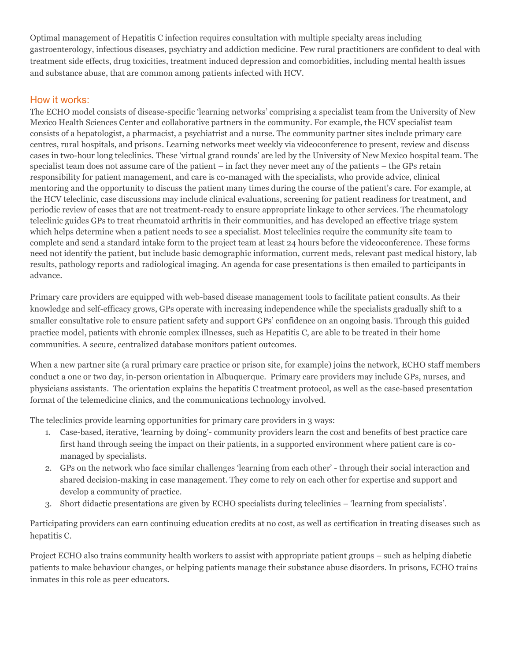Optimal management of Hepatitis C infection requires consultation with multiple specialty areas including gastroenterology, infectious diseases, psychiatry and addiction medicine. Few rural practitioners are confident to deal with treatment side effects, drug toxicities, treatment induced depression and comorbidities, including mental health issues and substance abuse, that are common among patients infected with HCV.

## How it works:

The ECHO model consists of disease-specific 'learning networks' comprising a specialist team from the University of New Mexico Health Sciences Center and collaborative partners in the community. For example, the HCV specialist team consists of a hepatologist, a pharmacist, a psychiatrist and a nurse. The community partner sites include primary care centres, rural hospitals, and prisons. Learning networks meet weekly via videoconference to present, review and discuss cases in two-hour long teleclinics. These 'virtual grand rounds' are led by the University of New Mexico hospital team. The specialist team does not assume care of the patient – in fact they never meet any of the patients – the GPs retain responsibility for patient management, and care is co-managed with the specialists, who provide advice, clinical mentoring and the opportunity to discuss the patient many times during the course of the patient's care. For example, at the HCV teleclinic, case discussions may include clinical evaluations, screening for patient readiness for treatment, and periodic review of cases that are not treatment-ready to ensure appropriate linkage to other services. The rheumatology teleclinic guides GPs to treat rheumatoid arthritis in their communities, and has developed an effective triage system which helps determine when a patient needs to see a specialist. Most teleclinics require the community site team to complete and send a standard intake form to the project team at least 24 hours before the videoconference. These forms need not identify the patient, but include basic demographic information, current meds, relevant past medical history, lab results, pathology reports and radiological imaging. An agenda for case presentations is then emailed to participants in advance.

Primary care providers are equipped with web-based disease management tools to facilitate patient consults. As their knowledge and self-efficacy grows, GPs operate with increasing independence while the specialists gradually shift to a smaller consultative role to ensure patient safety and support GPs' confidence on an ongoing basis. Through this guided practice model, patients with chronic complex illnesses, such as Hepatitis C, are able to be treated in their home communities. A secure, centralized database monitors patient outcomes.

When a new partner site (a rural primary care practice or prison site, for example) joins the network, ECHO staff members conduct a one or two day, in-person orientation in Albuquerque. Primary care providers may include GPs, nurses, and physicians assistants. The orientation explains the hepatitis C treatment protocol, as well as the case-based presentation format of the telemedicine clinics, and the communications technology involved.

The teleclinics provide learning opportunities for primary care providers in 3 ways:

- 1. Case-based, iterative, 'learning by doing'- community providers learn the cost and benefits of best practice care first hand through seeing the impact on their patients, in a supported environment where patient care is comanaged by specialists.
- 2. GPs on the network who face similar challenges 'learning from each other' through their social interaction and shared decision-making in case management. They come to rely on each other for expertise and support and develop a community of practice.
- 3. Short didactic presentations are given by ECHO specialists during teleclinics 'learning from specialists'.

Participating providers can earn continuing education credits at no cost, as well as certification in treating diseases such as hepatitis C.

Project ECHO also trains community health workers to assist with appropriate patient groups – such as helping diabetic patients to make behaviour changes, or helping patients manage their substance abuse disorders. In prisons, ECHO trains inmates in this role as peer educators.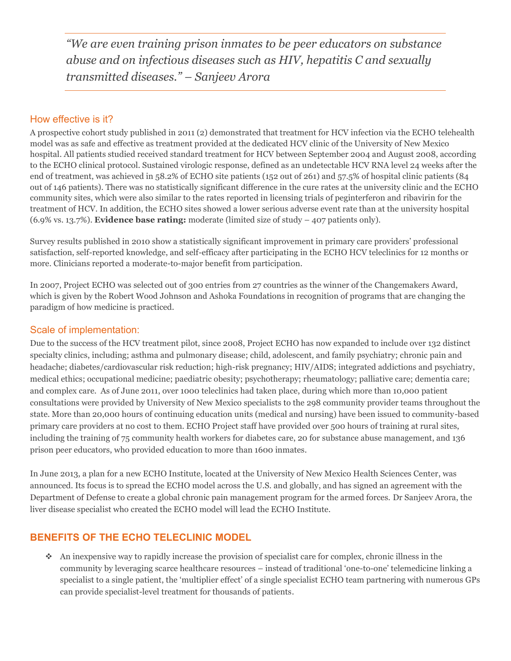*"We are even training prison inmates to be peer educators on substance abuse and on infectious diseases such as HIV, hepatitis C and sexually transmitted diseases." – Sanjeev Arora* 

#### How effective is it?

A prospective cohort study published in 2011 (2) demonstrated that treatment for HCV infection via the ECHO telehealth model was as safe and effective as treatment provided at the dedicated HCV clinic of the University of New Mexico hospital. All patients studied received standard treatment for HCV between September 2004 and August 2008, according to the ECHO clinical protocol. Sustained virologic response, defined as an undetectable HCV RNA level 24 weeks after the end of treatment, was achieved in 58.2% of ECHO site patients (152 out of 261) and 57.5% of hospital clinic patients (84 out of 146 patients). There was no statistically significant difference in the cure rates at the university clinic and the ECHO community sites, which were also similar to the rates reported in licensing trials of peginterferon and ribavirin for the treatment of HCV. In addition, the ECHO sites showed a lower serious adverse event rate than at the university hospital (6.9% vs. 13.7%). **Evidence base rating:** moderate (limited size of study – 407 patients only).

Survey results published in 2010 show a statistically significant improvement in primary care providers' professional satisfaction, self-reported knowledge, and self-efficacy after participating in the ECHO HCV teleclinics for 12 months or more. Clinicians reported a moderate-to-major benefit from participation.

In 2007, Project ECHO was selected out of 300 entries from 27 countries as the winner of the Changemakers Award, which is given by the Robert Wood Johnson and Ashoka Foundations in recognition of programs that are changing the paradigm of how medicine is practiced.

#### Scale of implementation:

Due to the success of the HCV treatment pilot, since 2008, Project ECHO has now expanded to include over 132 distinct specialty clinics, including; asthma and pulmonary disease; child, adolescent, and family psychiatry; chronic pain and headache; diabetes/cardiovascular risk reduction; high-risk pregnancy; HIV/AIDS; integrated addictions and psychiatry, medical ethics; occupational medicine; paediatric obesity; psychotherapy; rheumatology; palliative care; dementia care; and complex care. As of June 2011, over 1000 teleclinics had taken place, during which more than 10,000 patient consultations were provided by University of New Mexico specialists to the 298 community provider teams throughout the state. More than 20,000 hours of continuing education units (medical and nursing) have been issued to community-based primary care providers at no cost to them. ECHO Project staff have provided over 500 hours of training at rural sites, including the training of 75 community health workers for diabetes care, 20 for substance abuse management, and 136 prison peer educators, who provided education to more than 1600 inmates.

In June 2013, a plan for a new ECHO Institute, located at the University of New Mexico Health Sciences Center, was announced. Its focus is to spread the ECHO model across the U.S. and globally, and has signed an agreement with the Department of Defense to create a global chronic pain management program for the armed forces. Dr Sanjeev Arora, the liver disease specialist who created the ECHO model will lead the ECHO Institute.

## **BENEFITS OF THE ECHO TELECLINIC MODEL**

An inexpensive way to rapidly increase the provision of specialist care for complex, chronic illness in the community by leveraging scarce healthcare resources – instead of traditional 'one-to-one' telemedicine linking a specialist to a single patient, the 'multiplier effect' of a single specialist ECHO team partnering with numerous GPs can provide specialist-level treatment for thousands of patients.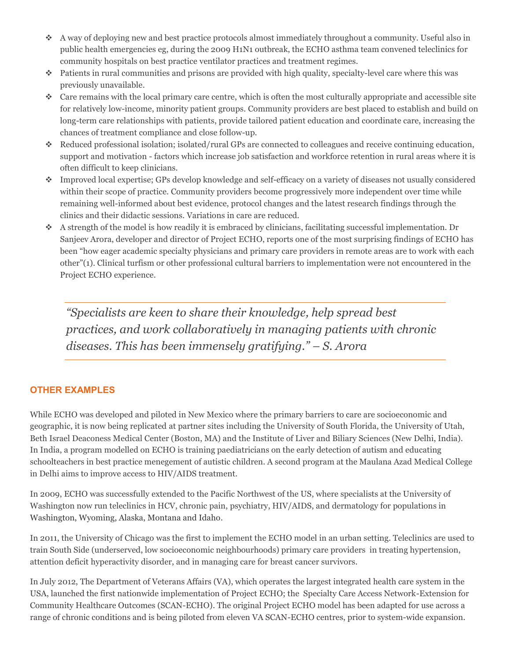- A way of deploying new and best practice protocols almost immediately throughout a community. Useful also in public health emergencies eg, during the 2009 H1N1 outbreak, the ECHO asthma team convened teleclinics for community hospitals on best practice ventilator practices and treatment regimes.
- Patients in rural communities and prisons are provided with high quality, specialty-level care where this was previously unavailable.
- $\bullet$  Care remains with the local primary care centre, which is often the most culturally appropriate and accessible site for relatively low-income, minority patient groups. Community providers are best placed to establish and build on long-term care relationships with patients, provide tailored patient education and coordinate care, increasing the chances of treatment compliance and close follow-up.
- Reduced professional isolation; isolated/rural GPs are connected to colleagues and receive continuing education, support and motivation - factors which increase job satisfaction and workforce retention in rural areas where it is often difficult to keep clinicians.
- Improved local expertise; GPs develop knowledge and self-efficacy on a variety of diseases not usually considered within their scope of practice. Community providers become progressively more independent over time while remaining well-informed about best evidence, protocol changes and the latest research findings through the clinics and their didactic sessions. Variations in care are reduced.
- $\bullet$  A strength of the model is how readily it is embraced by clinicians, facilitating successful implementation. Dr Sanjeev Arora, developer and director of Project ECHO, reports one of the most surprising findings of ECHO has been "how eager academic specialty physicians and primary care providers in remote areas are to work with each other"(1). Clinical turfism or other professional cultural barriers to implementation were not encountered in the Project ECHO experience.

*"Specialists are keen to share their knowledge, help spread best practices, and work collaboratively in managing patients with chronic diseases. This has been immensely gratifying." – S. Arora* 

#### **OTHER EXAMPLES**

While ECHO was developed and piloted in New Mexico where the primary barriers to care are socioeconomic and geographic, it is now being replicated at partner sites including the University of South Florida, the University of Utah, Beth Israel Deaconess Medical Center (Boston, MA) and the Institute of Liver and Biliary Sciences (New Delhi, India). In India, a program modelled on ECHO is training paediatricians on the early detection of autism and educating schoolteachers in best practice menegement of autistic children. A second program at the Maulana Azad Medical College in Delhi aims to improve access to HIV/AIDS treatment.

In 2009, ECHO was successfully extended to the Pacific Northwest of the US, where specialists at the University of Washington now run teleclinics in HCV, chronic pain, psychiatry, HIV/AIDS, and dermatology for populations in Washington, Wyoming, Alaska, Montana and Idaho.

In 2011, the University of Chicago was the first to implement the ECHO model in an urban setting. Teleclinics are used to train South Side (underserved, low socioeconomic neighbourhoods) primary care providers in treating hypertension, attention deficit hyperactivity disorder, and in managing care for breast cancer survivors.

In July 2012, The Department of Veterans Affairs (VA), which operates the largest integrated health care system in the USA, launched the first nationwide implementation of Project ECHO; the Specialty Care Access Network-Extension for Community Healthcare Outcomes (SCAN-ECHO). The original Project ECHO model has been adapted for use across a range of chronic conditions and is being piloted from eleven VA SCAN-ECHO centres, prior to system-wide expansion.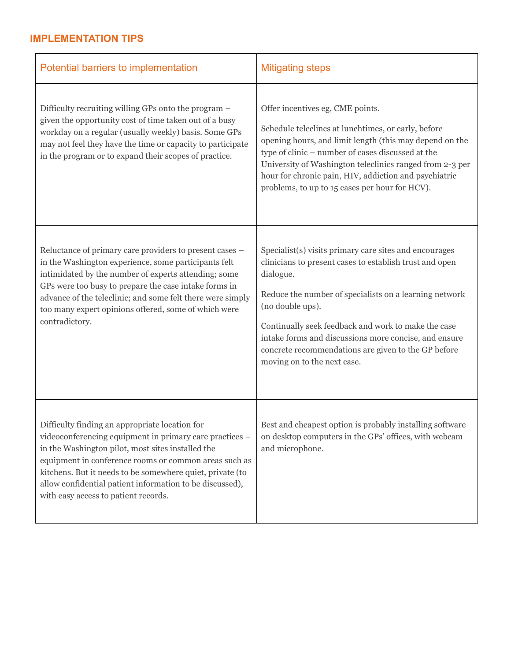## **IMPLEMENTATION TIPS**

| Potential barriers to implementation                                                                                                                                                                                                                                                                                                                                                     | <b>Mitigating steps</b>                                                                                                                                                                                                                                                                                                                                                                                            |
|------------------------------------------------------------------------------------------------------------------------------------------------------------------------------------------------------------------------------------------------------------------------------------------------------------------------------------------------------------------------------------------|--------------------------------------------------------------------------------------------------------------------------------------------------------------------------------------------------------------------------------------------------------------------------------------------------------------------------------------------------------------------------------------------------------------------|
| Difficulty recruiting willing GPs onto the program -<br>given the opportunity cost of time taken out of a busy<br>workday on a regular (usually weekly) basis. Some GPs<br>may not feel they have the time or capacity to participate<br>in the program or to expand their scopes of practice.                                                                                           | Offer incentives eg, CME points.<br>Schedule teleclincs at lunchtimes, or early, before<br>opening hours, and limit length (this may depend on the<br>type of clinic - number of cases discussed at the<br>University of Washington teleclinics ranged from 2-3 per<br>hour for chronic pain, HIV, addiction and psychiatric<br>problems, to up to 15 cases per hour for HCV).                                     |
| Reluctance of primary care providers to present cases -<br>in the Washington experience, some participants felt<br>intimidated by the number of experts attending; some<br>GPs were too busy to prepare the case intake forms in<br>advance of the teleclinic; and some felt there were simply<br>too many expert opinions offered, some of which were<br>contradictory.                 | Specialist(s) visits primary care sites and encourages<br>clinicians to present cases to establish trust and open<br>dialogue.<br>Reduce the number of specialists on a learning network<br>(no double ups).<br>Continually seek feedback and work to make the case<br>intake forms and discussions more concise, and ensure<br>concrete recommendations are given to the GP before<br>moving on to the next case. |
| Difficulty finding an appropriate location for<br>videoconferencing equipment in primary care practices –<br>in the Washington pilot, most sites installed the<br>equipment in conference rooms or common areas such as<br>kitchens. But it needs to be somewhere quiet, private (to<br>allow confidential patient information to be discussed),<br>with easy access to patient records. | Best and cheapest option is probably installing software<br>on desktop computers in the GPs' offices, with webcam<br>and microphone.                                                                                                                                                                                                                                                                               |